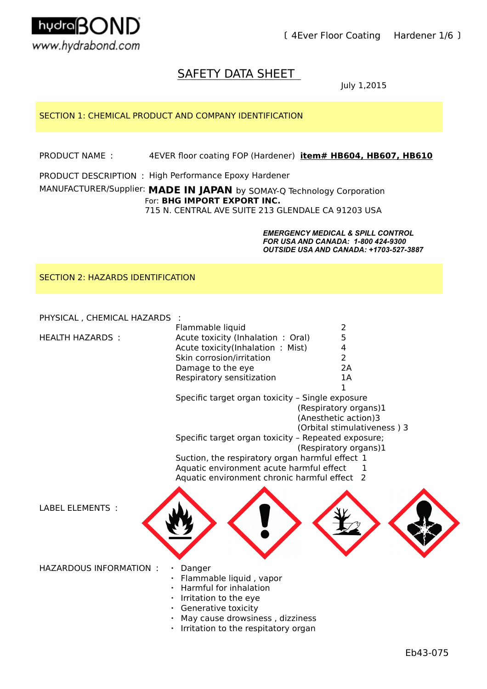

〔 4Ever Floor Coating Hardener 1/6 〕

# SAFETY DATA SHEET

July 1,2015

# SECTION 1: CHEMICAL PRODUCT AND COMPANY IDENTIFICATION

PRODUCT NAME : 4EVER floor coating FOP (Hardener) item# HB604, HB607, HB610

PRODUCT DESCRIPTION : High Performance Epoxy Hardener

# MANUFACTURER/Supplier: MADE IN JAPAN by SOMAY-Q Technology Corporation For: **BHG IMPORT EXPORT INC.**

715 N. CENTRAL AVE SUITE 213 GLENDALE CA 91203 USA

*EMERGENCY MEDICAL & SPILL CONTROL FOR USA AND CANADA: 1-800 424-9300 OUTSIDE USA AND CANADA: +1703-527-3887*

SECTION 2: HAZARDS IDENTIFICATION

PHYSICAL , CHEMICAL HAZARDS :

|                 | Flammable liquid                  |    |
|-----------------|-----------------------------------|----|
| HEALTH HAZARDS: | Acute toxicity (Inhalation: Oral) | 5  |
|                 | Acute toxicity(Inhalation: Mist)  | 4  |
|                 | Skin corrosion/irritation         |    |
|                 | Damage to the eye                 | 2A |
|                 | Respiratory sensitization         | 1Α |
|                 |                                   |    |

Specific target organ toxicity – Single exposure (Respiratory organs)1 (Anesthetic action)3

(Orbital stimulativeness ) 3

Specific target organ toxicity – Repeated exposure;

- (Respiratory organs)1
- Suction, the respiratory organ harmful effect 1
- Aquatic environment acute harmful effect 1
- Aquatic environment chronic harmful effect 2

LABEL ELEMENTS :

HAZARDOUS INFORMATION : · Danger

- 
- Flammable liquid, vapor
- ・ Harmful for inhalation
- ・ Irritation to the eye
- ・ Generative toxicity
- ・ May cause drowsiness , dizziness
- ・ Irritation to the respitatory organ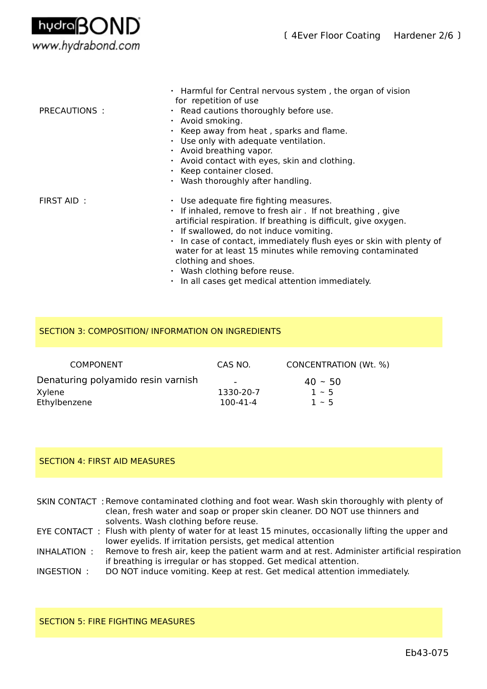

| PRECAUTIONS: | . Harmful for Central nervous system, the organ of vision<br>for repetition of use<br>· Read cautions thoroughly before use.<br>· Avoid smoking.<br>· Keep away from heat, sparks and flame.<br>• Use only with adequate ventilation.<br>$\cdot$ Avoid breathing vapor.<br>• Avoid contact with eyes, skin and clothing.<br>$\cdot$ Keep container closed.<br>• Wash thoroughly after handling.                                                                                |
|--------------|--------------------------------------------------------------------------------------------------------------------------------------------------------------------------------------------------------------------------------------------------------------------------------------------------------------------------------------------------------------------------------------------------------------------------------------------------------------------------------|
| FIRST AID:   | $\cdot$ Use adequate fire fighting measures.<br>. If inhaled, remove to fresh air. If not breathing, give<br>artificial respiration. If breathing is difficult, give oxygen.<br>. If swallowed, do not induce vomiting.<br>· In case of contact, immediately flush eyes or skin with plenty of<br>water for at least 15 minutes while removing contaminated<br>clothing and shoes.<br>$\cdot$ Wash clothing before reuse.<br>. In all cases get medical attention immediately. |

# SECTION 3: COMPOSITION/ INFORMATION ON INGREDIENTS

| CONCENTRATION (Wt. %)                           |
|-------------------------------------------------|
| $40 - 50$<br>1330-20-7<br>$1 - 5$<br>$1 \sim 5$ |
|                                                 |

# SECTION 4: FIRST AID MEASURES

| SKIN CONTACT: Remove contaminated clothing and foot wear. Wash skin thoroughly with plenty of |
|-----------------------------------------------------------------------------------------------|
| clean, fresh water and soap or proper skin cleaner. DO NOT use thinners and                   |
| solvents. Wash clothing before reuse.                                                         |

EYE CONTACT : Flush with plenty of water for at least 15 minutes, occasionally lifting the upper and lower eyelids. If irritation persists, get medical attention

INHALATION : Remove to fresh air, keep the patient warm and at rest. Administer artificial respiration if breathing is irregular or has stopped. Get medical attention.

INGESTION : DO NOT induce vomiting. Keep at rest. Get medical attention immediately.

#### SECTION 5: FIRE FIGHTING MEASURES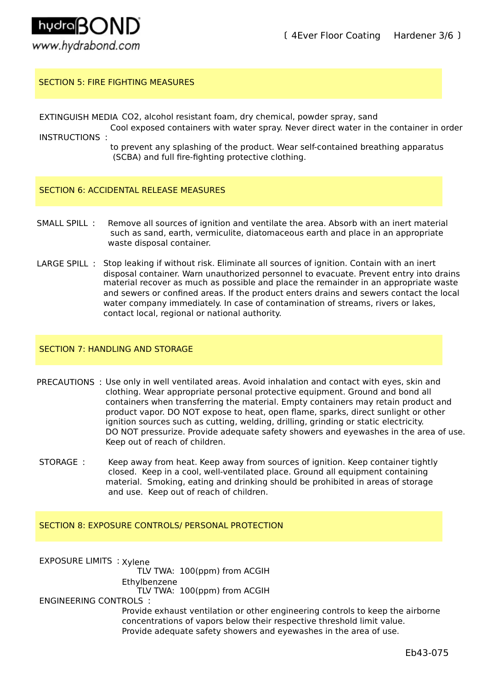

# SECTION 5: FIRE FIGHTING MEASURES

EXTINGUISH MEDIA CO2, alcohol resistant foam, dry chemical, powder spray, sand

- INSTRUCTIONS : Cool exposed containers with water spray. Never direct water in the container in order
	- to prevent any splashing of the product. Wear self-contained breathing apparatus (SCBA) and full fire-fighting protective clothing.

## SECTION 6: ACCIDENTAL RELEASE MEASURES

- SMALL SPILL : such as sand, earth, vermiculite, diatomaceous earth and place in an appropriate waste disposal container. Remove all sources of ignition and ventilate the area. Absorb with an inert material
- LARGE SPILL: Stop leaking if without risk. Eliminate all sources of ignition. Contain with an inert material recover as much as possible and place the remainder in an appropriate waste disposal container. Warn unauthorized personnel to evacuate. Prevent entry into drains and sewers or confined areas. If the product enters drains and sewers contact the local water company immediately. In case of contamination of streams, rivers or lakes, contact local, regional or national authority.

## SECTION 7: HANDLING AND STORAGE

- PRECAUTIONS : Use only in well ventilated areas. Avoid inhalation and contact with eyes, skin and clothing. Wear appropriate personal protective equipment. Ground and bond all containers when transferring the material. Empty containers may retain product and product vapor. DO NOT expose to heat, open flame, sparks, direct sunlight or other ignition sources such as cutting, welding, drilling, grinding or static electricity. DO NOT pressurize. Provide adequate safety showers and eyewashes in the area of use. Keep out of reach of children.
- STORAGE : Keep away from heat. Keep away from sources of ignition. Keep container tightly closed. Keep in a cool, well-ventilated place. Ground all equipment containing material. Smoking, eating and drinking should be prohibited in areas of storage and use. Keep out of reach of children.

# SECTION 8: EXPOSURE CONTROLS/ PERSONAL PROTECTION

EXPOSURE LIMITS : Xylene TLV TWA: 100(ppm) from ACGIH Ethylbenzene

TLV TWA: 100(ppm) from ACGIH

ENGINEERING CONTROLS :

Provide exhaust ventilation or other engineering controls to keep the airborne concentrations of vapors below their respective threshold limit value. Provide adequate safety showers and eyewashes in the area of use.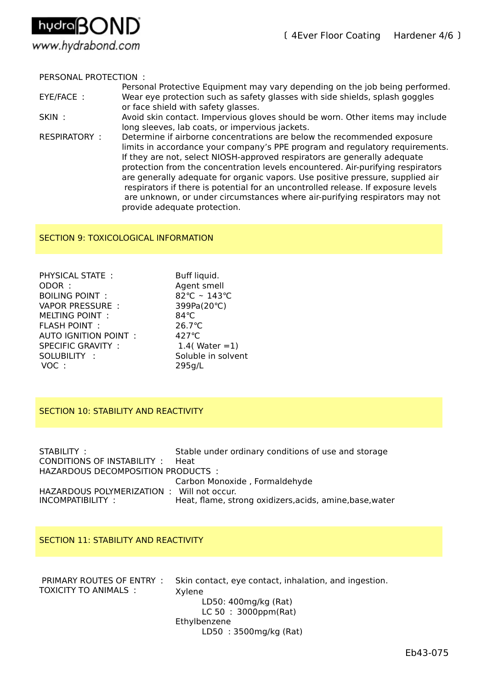

# PERSONAL PROTECTION :

- Personal Protective Equipment may vary depending on the job being performed. EYE/FACE : Wear eye protection such as safety glasses with side shields, splash goggles or face shield with safety glasses.
- SKIN : Avoid skin contact. Impervious gloves should be worn. Other items may include long sleeves, lab coats, or impervious jackets.
- RESPIRATORY : Determine if airborne concentrations are below the recommended exposure limits in accordance your company's PPE program and regulatory requirements. If they are not, select NIOSH-approved respirators are generally adequate protection from the concentration levels encountered. Air-purifying respirators are generally adequate for organic vapors. Use positive pressure, supplied air respirators if there is potential for an uncontrolled release. If exposure levels are unknown, or under circumstances where air-purifying respirators may not provide adequate protection.

# SECTION 9: TOXICOLOGICAL INFORMATION

| PHYSICAL STATE:          | Buff liquid.       |
|--------------------------|--------------------|
| ODOR:                    | Agent smell        |
| <b>BOILING POINT:</b>    | 82°C ~ 143°C       |
| <b>VAPOR PRESSURE:</b>   | 399Pa(20°C)        |
| <b>MELTING POINT:</b>    | 84°C               |
| <b>FLASH POINT:</b>      | 26.7°C             |
| AUTO IGNITION POINT :    | $427^{\circ}$ C    |
| <b>SPECIFIC GRAVITY:</b> | 1.4( Water $=1$ )  |
| SOLUBILITY:              | Soluble in solvent |
| VOC:                     | 295q/L             |
|                          |                    |

## SECTION 10: STABILITY AND REACTIVITY

| STABILITY:                                | Stable under ordinary conditions of use and storage      |
|-------------------------------------------|----------------------------------------------------------|
| CONDITIONS OF INSTABILITY: Heat           |                                                          |
| HAZARDOUS DECOMPOSITION PRODUCTS:         |                                                          |
|                                           | Carbon Monoxide, Formaldehyde                            |
| HAZARDOUS POLYMERIZATION: Will not occur. |                                                          |
| INCOMPATIBILITY:                          | Heat, flame, strong oxidizers, acids, amine, base, water |

#### SECTION 11: STABILITY AND REACTIVITY

| PRIMARY ROUTES OF ENTRY:<br>TOXICITY TO ANIMALS: | Skin contact, eye contact, inhalation, and ingestion.<br>Xylene |
|--------------------------------------------------|-----------------------------------------------------------------|
|                                                  | LD50: 400mg/kg (Rat)                                            |
|                                                  | $LC 50 : 3000$ ppm(Rat)                                         |
|                                                  | Ethylbenzene                                                    |
|                                                  | LD50 : 3500mg/kg (Rat)                                          |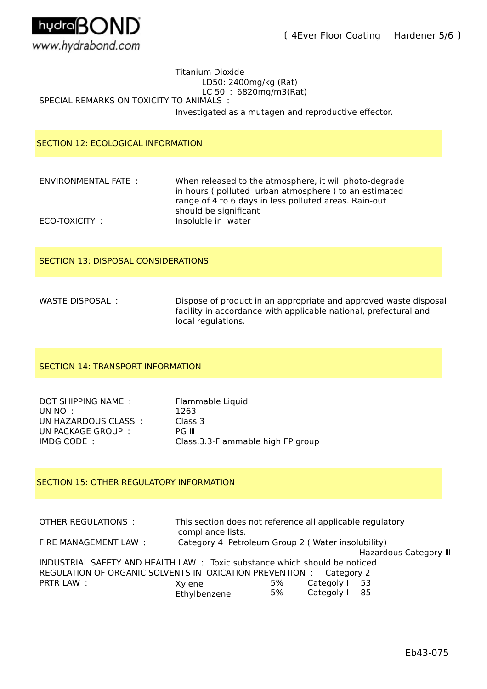

## SPECIAL REMARKS ON TOXICITY TO ANIMALS : Titanium Dioxide LD50: 2400mg/kg (Rat) LC 50 : 6820mg/m3(Rat) Investigated as a mutagen and reproductive effector.

# SECTION 12: ECOLOGICAL INFORMATION

ENVIRONMENTAL FATE : When released to the atmosphere, it will photo-degrade in hours ( polluted urban atmosphere ) to an estimated range of 4 to 6 days in less polluted areas. Rain-out should be significant ECO-TOXICITY : Insoluble in water

## SECTION 13: DISPOSAL CONSIDERATIONS

WASTE DISPOSAL : Dispose of product in an appropriate and approved waste disposal facility in accordance with applicable national, prefectural and local regulations.

# SECTION 14: TRANSPORT INFORMATION

| DOT SHIPPING NAME:   | Flammable Liquid                  |
|----------------------|-----------------------------------|
| UN NO :              | 1263                              |
| UN HAZARDOUS CLASS : | Class 3                           |
| UN PACKAGE GROUP:    | PG III                            |
| IMDG CODE:           | Class.3.3-Flammable high FP group |

## SECTION 15: OTHER REGULATORY INFORMATION

OTHER REGULATIONS : This section does not reference all applicable regulatory compliance lists. FIRE MANAGEMENT LAW : Category 4 Petroleum Group 2 ( Water insolubility) Hazardous Category Ⅲ INDUSTRIAL SAFETY AND HEALTH LAW : Toxic substance which should be noticed REGULATION OF ORGANIC SOLVENTS INTOXICATION PREVENTION : Category 2 PRTR LAW :  $X$ ylene 5% Categoly 1 53<br>Fthylbenzene 5% Categoly 1 85 Categoly I Ethylbenzene